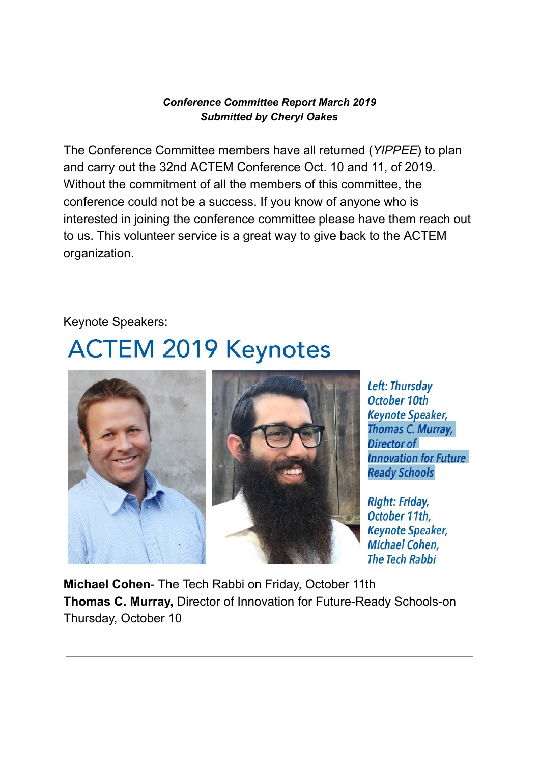## *Conference Committee Report March 2019 Submitted by Cheryl Oakes*

The Conference Committee members have all returned (*YIPPEE*) to plan and carry out the 32nd ACTEM Conference Oct. 10 and 11, of 2019. Without the commitment of all the members of this committee, the conference could not be a success. If you know of anyone who is interested in joining the conference committee please have them reach out to us. This volunteer service is a great way to give back to the ACTEM organization.

Keynote Speakers:

## **ACTEM 2019 Keynotes**



Left: Thursday October 10th **Keynote Speaker,** Thomas C. Murray, Director of **Innovation for Future Ready Schools** 

**Right: Friday,** October 11th. **Keynote Speaker,** Michael Cohen. **The Tech Rabbi** 

**Michael Cohen-** The Tech Rabbi on Friday, October 11th **Thomas C. Murray, Director of Innovation for Future-Ready Schools-on** Thursday, October 10